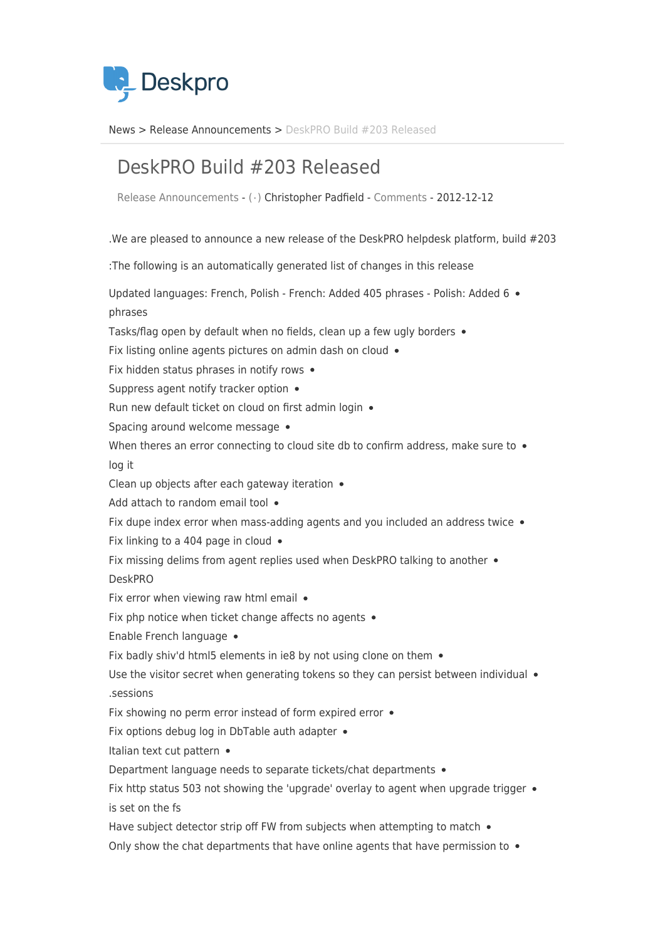

News> Release Announcements > DeskPRO Build #203 Released

## DeskPRO Build #203 Released

Release Announcements - ( · ) Christopher Padfield - [Comments](#page--1-0) - 2012-12-12

. We are pleased to announce a new release of the DeskPRO helpdesk platform, build  $#203$ : The following is an automatically generated list of changes in this release Updated languages: French, Polish - French: Added 405 phrases - Polish: Added 6 . phrases Tasks/flag open by default when no fields, clean up a few ugly borders . Fix listing online agents pictures on admin dash on cloud  $\bullet$ Fix hidden status phrases in notify rows  $\bullet$ Suppress agent notify tracker option  $\bullet$ Run new default ticket on cloud on first admin login . Spacing around welcome message • When theres an error connecting to cloud site db to confirm address, make sure to  $\bullet$ log it Clean up objects after each gateway iteration  $\bullet$ Add attach to random email tool . Fix dupe index error when mass-adding agents and you included an address twice  $\bullet$ Fix linking to a 404 page in cloud  $\bullet$ Fix missing delims from agent replies used when DeskPRO talking to another  $\bullet$ DeskPRO Fix error when viewing raw html email  $\bullet$ Fix php notice when ticket change affects no agents  $\bullet$ Enable French language • Fix badly shiv'd html5 elements in ie8 by not using clone on them  $\bullet$ Use the visitor secret when generating tokens so they can persist between individual  $\bullet$ sessions. Fix showing no perm error instead of form expired error  $\bullet$ Fix options debug log in DbTable auth adapter • Italian text cut pattern  $\bullet$ Department language needs to separate tickets/chat departments . Fix http status 503 not showing the 'upgrade' overlay to agent when upgrade trigger  $\bullet$ is set on the fs Have subject detector strip off FW from subjects when attempting to match  $\bullet$ Only show the chat departments that have online agents that have permission to  $\bullet$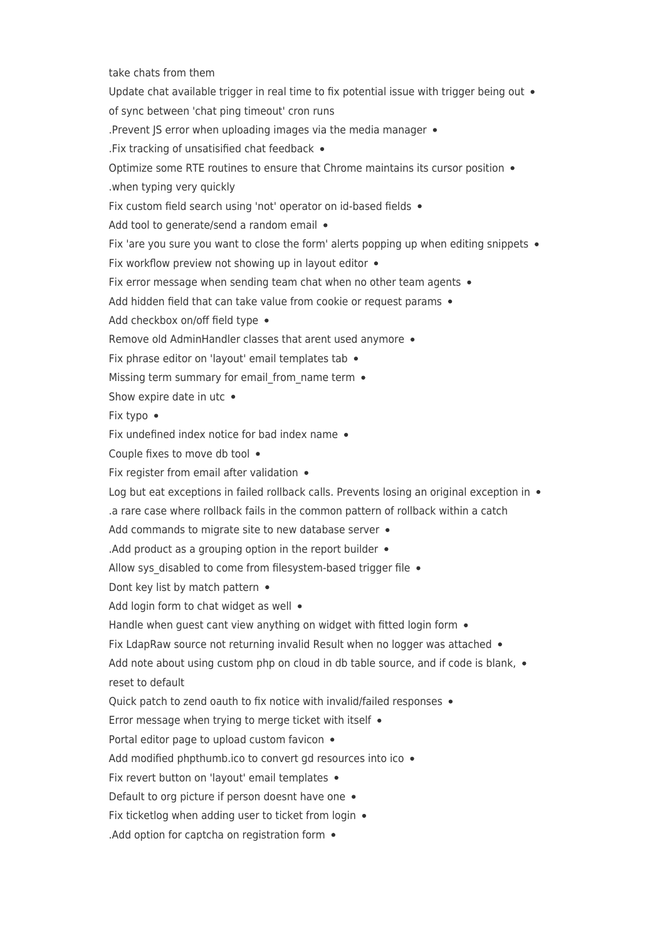take chats from them Update chat available trigger in real time to fix potential issue with trigger being out  $\bullet$ of sync between 'chat ping timeout' cron runs . Prevent JS error when uploading images via the media manager  $\bullet$ . Fix tracking of unsatisified chat feedback  $\bullet$ Optimize some RTE routines to ensure that Chrome maintains its cursor position  $\bullet$ when typing very quickly. Fix custom field search using 'not' operator on id-based fields • Add tool to generate/send a random email • Fix 'are you sure you want to close the form' alerts popping up when editing snippets  $\bullet$ Fix workflow preview not showing up in layout editor  $\bullet$ Fix error message when sending team chat when no other team agents  $\bullet$ Add hidden field that can take value from cookie or request params . Add checkbox on/off field type . Remove old AdminHandler classes that arent used anymore • Fix phrase editor on 'layout' email templates tab  $\bullet$ Missing term summary for email from name term  $\bullet$ Show expire date in utc  $\bullet$ Fix typo • Fix undefined index notice for bad index name  $\bullet$ Couple fixes to move db tool . Fix register from email after validation  $\bullet$ Log but eat exceptions in failed rollback calls. Prevents losing an original exception in  $\bullet$ a rare case where rollback fails in the common pattern of rollback within a catch Add commands to migrate site to new database server  $\bullet$ . Add product as a grouping option in the report builder  $\bullet$ Allow sys disabled to come from filesystem-based trigger file  $\bullet$ Dont key list by match pattern • Add login form to chat widget as well  $\bullet$ Handle when guest cant view anything on widget with fitted login form  $\bullet$ Fix LdapRaw source not returning invalid Result when no logger was attached  $\bullet$ Add note about using custom php on cloud in db table source, and if code is blank,  $\bullet$ reset to default Quick patch to zend oauth to fix notice with invalid/failed responses . Error message when trying to merge ticket with itself  $\bullet$ Portal editor page to upload custom favicon . Add modified phpthumb ico to convert gd resources into ico  $\bullet$ Fix revert button on 'layout' email templates  $\bullet$ Default to org picture if person doesnt have one  $\bullet$ Fix ticketlog when adding user to ticket from login  $\bullet$ . Add option for captcha on registration form  $\bullet$